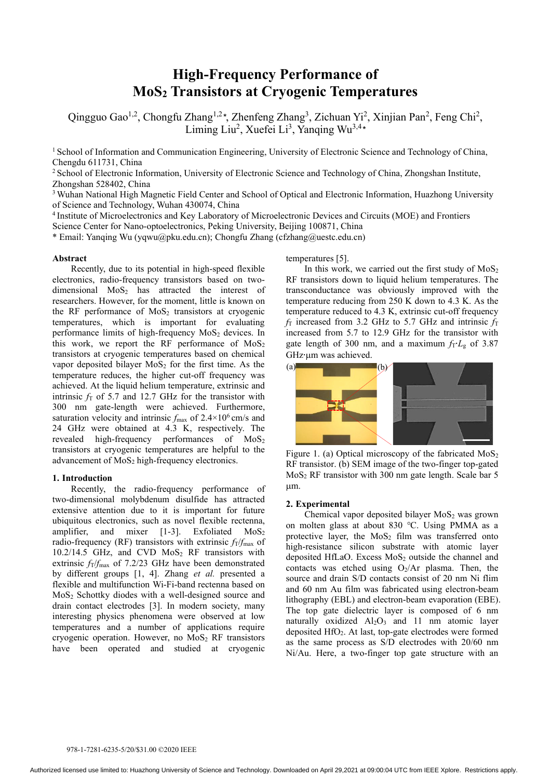# **High-Frequency Performance of MoS2 Transistors at Cryogenic Temperatures**

Qingguo Gao<sup>1,2</sup>, Chongfu Zhang<sup>1,2\*</sup>, Zhenfeng Zhang<sup>3</sup>, Zichuan Yi<sup>2</sup>, Xinjian Pan<sup>2</sup>, Feng Chi<sup>2</sup>, Liming Liu<sup>2</sup>, Xuefei Li<sup>3</sup>, Yanqing Wu<sup>3,4</sup>\*

<sup>1</sup> School of Information and Communication Engineering, University of Electronic Science and Technology of China, Chengdu 611731, China

<sup>2</sup> School of Electronic Information, University of Electronic Science and Technology of China, Zhongshan Institute, Zhongshan 528402, China

<sup>3</sup> Wuhan National High Magnetic Field Center and School of Optical and Electronic Information, Huazhong University of Science and Technology, Wuhan 430074, China

<sup>4</sup> Institute of Microelectronics and Key Laboratory of Microelectronic Devices and Circuits (MOE) and Frontiers

Science Center for Nano-optoelectronics, Peking University, Beijing 100871, China

\* Email: Yanqing Wu (yqwu@pku.edu.cn); Chongfu Zhang (cfzhang@uestc.edu.cn)

# **Abstract**

Recently, due to its potential in high-speed flexible electronics, radio-frequency transistors based on twodimensional  $MoS<sub>2</sub>$  has attracted the interest of researchers. However, for the moment, little is known on the RF performance of  $MoS<sub>2</sub>$  transistors at cryogenic temperatures, which is important for evaluating performance limits of high-frequency  $MoS<sub>2</sub>$  devices. In this work, we report the RF performance of MoS<sub>2</sub> transistors at cryogenic temperatures based on chemical vapor deposited bilayer  $MoS<sub>2</sub>$  for the first time. As the temperature reduces, the higher cut-off frequency was achieved. At the liquid helium temperature, extrinsic and intrinsic  $f<sub>T</sub>$  of 5.7 and 12.7 GHz for the transistor with 300 nm gate-length were achieved. Furthermore, saturation velocity and intrinsic  $f_{\text{max}}$  of  $2.4 \times 10^6$  cm/s and 24 GHz were obtained at 4.3 K, respectively. The revealed high-frequency performances of MoS2 transistors at cryogenic temperatures are helpful to the advancement of MoS<sub>2</sub> high-frequency electronics.

## **1. Introduction**

Recently, the radio-frequency performance of two-dimensional molybdenum disulfide has attracted extensive attention due to it is important for future ubiquitous electronics, such as novel flexible rectenna, amplifier, and mixer  $[1-3]$ . Exfoliated MoS<sub>2</sub> radio-frequency (RF) transistors with extrinsic  $f_T/f_{\text{max}}$  of  $10.2/14.5$  GHz, and CVD MoS<sub>2</sub> RF transistors with extrinsic  $f_T/f_{\text{max}}$  of 7.2/23 GHz have been demonstrated by different groups [1, 4]. Zhang *et al.* presented a flexible and multifunction Wi-Fi-band rectenna based on MoS2 Schottky diodes with a well-designed source and drain contact electrodes [3]. In modern society, many interesting physics phenomena were observed at low temperatures and a number of applications require cryogenic operation. However, no MoS<sub>2</sub> RF transistors have been operated and studied at cryogenic temperatures [5].

In this work, we carried out the first study of  $MoS<sub>2</sub>$ RF transistors down to liquid helium temperatures. The transconductance was obviously improved with the temperature reducing from 250 K down to 4.3 K. As the temperature reduced to 4.3 K, extrinsic cut-off frequency  $f<sub>T</sub>$  increased from 3.2 GHz to 5.7 GHz and intrinsic  $f<sub>T</sub>$ increased from 5.7 to 12.9 GHz for the transistor with gate length of 300 nm, and a maximum *f*T⋅*L*g of 3.87 GHz∙µm was achieved.



Figure 1. (a) Optical microscopy of the fabricated MoS<sub>2</sub> RF transistor. (b) SEM image of the two-finger top-gated MoS2 RF transistor with 300 nm gate length. Scale bar 5  $µm$ .

## **2. Experimental**

Chemical vapor deposited bilayer  $MoS<sub>2</sub>$  was grown on molten glass at about 830 ℃. Using PMMA as a protective layer, the  $MoS<sub>2</sub>$  film was transferred onto high-resistance silicon substrate with atomic layer deposited HfLaO. Excess MoS<sub>2</sub> outside the channel and contacts was etched using  $O_2/Ar$  plasma. Then, the source and drain S/D contacts consist of 20 nm Ni flim and 60 nm Au film was fabricated using electron-beam lithography (EBL) and electron-beam evaporation (EBE). The top gate dielectric layer is composed of 6 nm naturally oxidized  $Al_2O_3$  and 11 nm atomic layer deposited HfO2. At last, top-gate electrodes were formed as the same process as S/D electrodes with 20/60 nm Ni/Au. Here, a two-finger top gate structure with an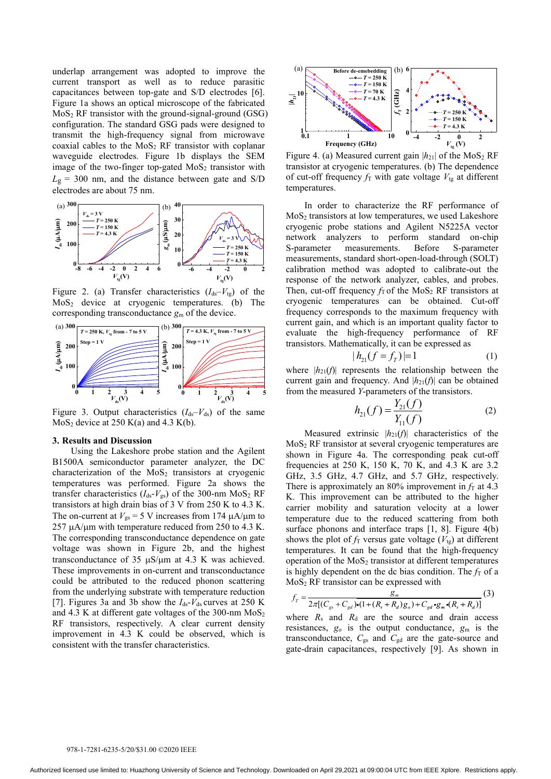underlap arrangement was adopted to improve the current transport as well as to reduce parasitic capacitances between top-gate and S/D electrodes [6]. Figure 1a shows an optical microscope of the fabricated  $MoS<sub>2</sub> RF$  transistor with the ground-signal-ground (GSG) configuration. The standard GSG pads were designed to transmit the high-frequency signal from microwave coaxial cables to the MoS2 RF transistor with coplanar waveguide electrodes. Figure 1b displays the SEM image of the two-finger top-gated  $MoS<sub>2</sub>$  transistor with  $L_g$  = 300 nm, and the distance between gate and S/D electrodes are about 75 nm.



Figure 2. (a) Transfer characteristics  $(I_{ds}-V_{tg})$  of the  $MoS<sub>2</sub>$  device at cryogenic temperatures. (b) The corresponding transconductance *g*<sup>m</sup> of the device.



Figure 3. Output characteristics  $(I_{ds}-V_{ds})$  of the same  $MoS<sub>2</sub>$  device at 250 K(a) and 4.3 K(b).

#### **3. Results and Discussion**

Using the Lakeshore probe station and the Agilent B1500A semiconductor parameter analyzer, the DC characterization of the  $MoS<sub>2</sub>$  transistors at cryogenic temperatures was performed. Figure 2a shows the transfer characteristics  $(I_{ds} - V_{gs})$  of the 300-nm MoS<sub>2</sub> RF transistors at high drain bias of 3 V from 250 K to 4.3 K. The on-current at  $V_{gs} = 5$  V increases from 174  $\mu$ A/ $\mu$ m to  $257 \mu A/\mu m$  with temperature reduced from 250 to 4.3 K. The corresponding transconductance dependence on gate voltage was shown in Figure 2b, and the highest transconductance of 35  $\mu$ S/ $\mu$ m at 4.3 K was achieved. These improvements in on-current and transconductance could be attributed to the reduced phonon scattering from the underlying substrate with temperature reduction [7]. Figures 3a and 3b show the  $I_{ds}$ - $V_{ds}$  curves at 250 K and 4.3 K at different gate voltages of the  $300$ -nm  $MoS<sub>2</sub>$ RF transistors, respectively. A clear current density improvement in 4.3 K could be observed, which is consistent with the transfer characteristics.



Figure 4. (a) Measured current gain  $|h_{21}|$  of the MoS<sub>2</sub> RF transistor at cryogenic temperatures. (b) The dependence of cut-off frequency  $f<sub>T</sub>$  with gate voltage  $V<sub>tg</sub>$  at different temperatures.

In order to characterize the RF performance of MoS2 transistors at low temperatures, we used Lakeshore cryogenic probe stations and Agilent N5225A vector network analyzers to perform standard on-chip S-parameter measurements. Before S-parameter measurements, standard short-open-load-through (SOLT) calibration method was adopted to calibrate-out the response of the network analyzer, cables, and probes. Then, cut-off frequency  $f<sub>T</sub>$  of the MoS<sub>2</sub> RF transistors at cryogenic temperatures can be obtained. Cut-off frequency corresponds to the maximum frequency with current gain, and which is an important quality factor to evaluate the high-frequency performance of RF transistors. Mathematically, it can be expressed as

$$
|h_{21}(f = f_T)| = 1 \tag{1}
$$

where  $|h_{21}(f)|$  represents the relationship between the current gain and frequency. And  $|h_{21}(f)|$  can be obtained from the measured *Y*-parameters of the transistors.

$$
h_{21}(f) = \frac{Y_{21}(f)}{Y_{11}(f)}
$$
 (2)

Measured extrinsic  $|h_{21}(f)|$  characteristics of the MoS2 RF transistor at several cryogenic temperatures are shown in Figure 4a. The corresponding peak cut-off frequencies at 250 K, 150 K, 70 K, and 4.3 K are 3.2 GHz, 3.5 GHz, 4.7 GHz, and 5.7 GHz, respectively. There is approximately an 80% improvement in  $f<sub>T</sub>$  at 4.3 K. This improvement can be attributed to the higher carrier mobility and saturation velocity at a lower temperature due to the reduced scattering from both surface phonons and interface traps [1, 8]. Figure 4(b) shows the plot of  $f_T$  versus gate voltage ( $V_{tg}$ ) at different temperatures. It can be found that the high-frequency operation of the  $MoS<sub>2</sub>$  transistor at different temperatures is highly dependent on the dc bias condition. The  $f<sub>T</sub>$  of a MoS2 RF transistor can be expressed with

$$
f_{T} = \frac{g_{m}}{2\pi[(C_{gs} + C_{gd}) \cdot (1 + (R_{s} + R_{d})g_{o}) + C_{gd} \cdot g_{m} \cdot (R_{s} + R_{d})]} (3)
$$

where  $R_s$  and  $R_d$  are the source and drain access resistances, *g*<sup>o</sup> is the output conductance, *g*<sup>m</sup> is the transconductance, *C*gs and *C*gd are the gate-source and gate-drain capacitances, respectively [9]. As shown in